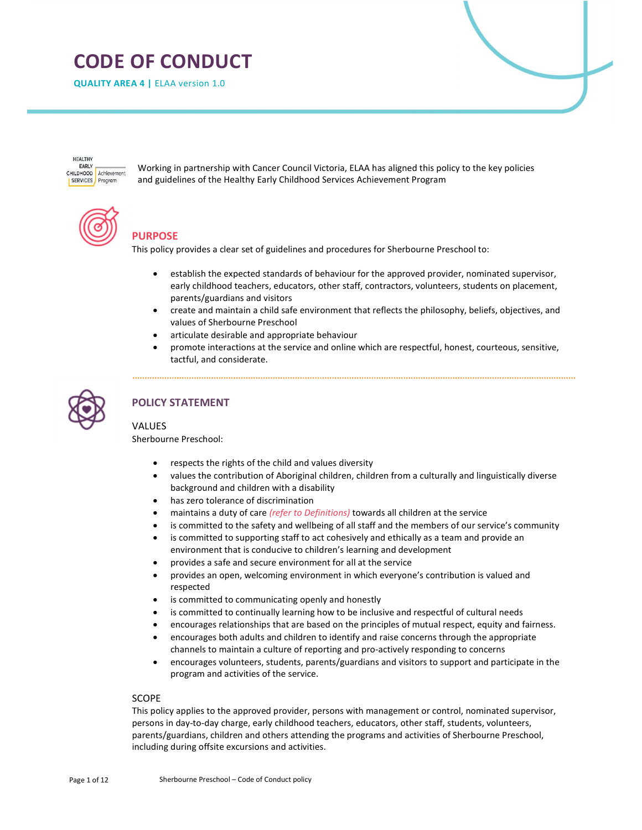# CODE OF CONDUCT

QUALITY AREA 4 | ELAA version 1.0

**HEALTHY** EARLY CHILDHOOD Achievement **SERVICES** Program

Working in partnership with Cancer Council Victoria, ELAA has aligned this policy to the key policies and guidelines of the Healthy Early Childhood Services Achievement Program

# PURPOSE

This policy provides a clear set of guidelines and procedures for Sherbourne Preschool to:

- establish the expected standards of behaviour for the approved provider, nominated supervisor, early childhood teachers, educators, other staff, contractors, volunteers, students on placement, parents/guardians and visitors
- create and maintain a child safe environment that reflects the philosophy, beliefs, objectives, and values of Sherbourne Preschool
- articulate desirable and appropriate behaviour
- promote interactions at the service and online which are respectful, honest, courteous, sensitive, tactful, and considerate.



# POLICY STATEMENT

# VALUES

Sherbourne Preschool:

- respects the rights of the child and values diversity
- values the contribution of Aboriginal children, children from a culturally and linguistically diverse background and children with a disability
- has zero tolerance of discrimination
- maintains a duty of care (refer to Definitions) towards all children at the service
- is committed to the safety and wellbeing of all staff and the members of our service's community
- is committed to supporting staff to act cohesively and ethically as a team and provide an environment that is conducive to children's learning and development
- provides a safe and secure environment for all at the service
- provides an open, welcoming environment in which everyone's contribution is valued and respected
- is committed to communicating openly and honestly
- is committed to continually learning how to be inclusive and respectful of cultural needs
- encourages relationships that are based on the principles of mutual respect, equity and fairness.
- encourages both adults and children to identify and raise concerns through the appropriate channels to maintain a culture of reporting and pro-actively responding to concerns
- encourages volunteers, students, parents/guardians and visitors to support and participate in the program and activities of the service.

## **SCOPE**

This policy applies to the approved provider, persons with management or control, nominated supervisor, persons in day-to-day charge, early childhood teachers, educators, other staff, students, volunteers, parents/guardians, children and others attending the programs and activities of Sherbourne Preschool, including during offsite excursions and activities.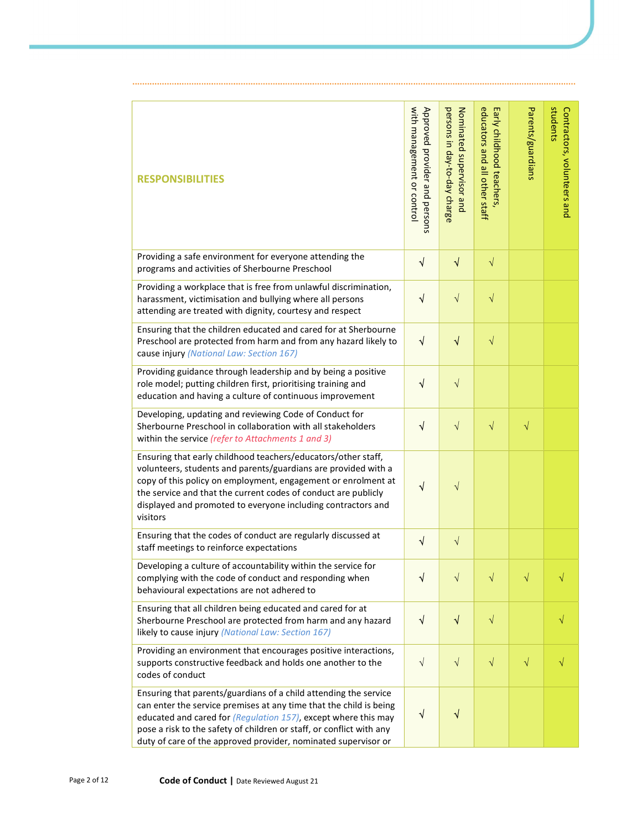| <b>RESPONSIBILITIES</b>                                                                                                                                                                                                                                                                                                                            | with management or control<br>Approved provider and persons | persons in day-to-day charge<br>Nominated supervisor and | educators and all other staff<br>Early childhood teachers, | Parents/guardians | students<br>Contractors, volunteers and |
|----------------------------------------------------------------------------------------------------------------------------------------------------------------------------------------------------------------------------------------------------------------------------------------------------------------------------------------------------|-------------------------------------------------------------|----------------------------------------------------------|------------------------------------------------------------|-------------------|-----------------------------------------|
| Providing a safe environment for everyone attending the<br>programs and activities of Sherbourne Preschool                                                                                                                                                                                                                                         | $\sqrt{}$                                                   | $\sqrt{}$                                                | $\sqrt{}$                                                  |                   |                                         |
| Providing a workplace that is free from unlawful discrimination,<br>harassment, victimisation and bullying where all persons<br>attending are treated with dignity, courtesy and respect                                                                                                                                                           | $\sqrt{ }$                                                  | $\sqrt{}$                                                | $\sqrt{}$                                                  |                   |                                         |
| Ensuring that the children educated and cared for at Sherbourne<br>Preschool are protected from harm and from any hazard likely to<br>cause injury (National Law: Section 167)                                                                                                                                                                     | $\sqrt{ }$                                                  | $\sqrt{}$                                                | $\sqrt{}$                                                  |                   |                                         |
| Providing guidance through leadership and by being a positive<br>role model; putting children first, prioritising training and<br>education and having a culture of continuous improvement                                                                                                                                                         | $\sqrt{}$                                                   | $\sqrt{}$                                                |                                                            |                   |                                         |
| Developing, updating and reviewing Code of Conduct for<br>Sherbourne Preschool in collaboration with all stakeholders<br>within the service (refer to Attachments 1 and 3)                                                                                                                                                                         | $\sqrt{}$                                                   | $\sqrt{}$                                                | $\sqrt{}$                                                  | $\sqrt{}$         |                                         |
| Ensuring that early childhood teachers/educators/other staff,<br>volunteers, students and parents/guardians are provided with a<br>copy of this policy on employment, engagement or enrolment at<br>the service and that the current codes of conduct are publicly<br>displayed and promoted to everyone including contractors and<br>visitors     | $\sqrt{}$                                                   | $\sqrt{}$                                                |                                                            |                   |                                         |
| Ensuring that the codes of conduct are regularly discussed at<br>staff meetings to reinforce expectations                                                                                                                                                                                                                                          | $\sqrt{}$                                                   | $\sqrt{}$                                                |                                                            |                   |                                         |
| Developing a culture of accountability within the service for<br>complying with the code of conduct and responding when<br>behavioural expectations are not adhered to                                                                                                                                                                             | N                                                           | $\sqrt{}$                                                | $\sqrt{}$                                                  |                   |                                         |
| Ensuring that all children being educated and cared for at<br>Sherbourne Preschool are protected from harm and any hazard<br>likely to cause injury (National Law: Section 167)                                                                                                                                                                    | $\sqrt{ }$                                                  | $\sqrt{ }$                                               | $\sqrt{}$                                                  |                   | $\sqrt{}$                               |
| Providing an environment that encourages positive interactions,<br>supports constructive feedback and holds one another to the<br>codes of conduct                                                                                                                                                                                                 | $\sqrt{}$                                                   | $\sqrt{}$                                                | $\sqrt{}$                                                  | $\sqrt{}$         | $\sqrt{}$                               |
| Ensuring that parents/guardians of a child attending the service<br>can enter the service premises at any time that the child is being<br>educated and cared for (Regulation 157), except where this may<br>pose a risk to the safety of children or staff, or conflict with any<br>duty of care of the approved provider, nominated supervisor or | $\sqrt{}$                                                   | $\sqrt{ }$                                               |                                                            |                   |                                         |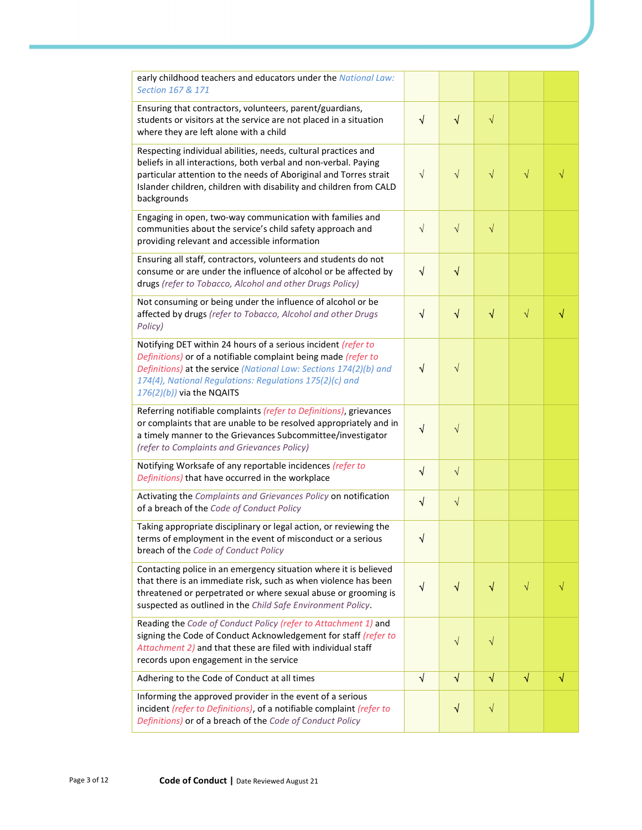| early childhood teachers and educators under the National Law:<br>Section 167 & 171                                                                                                                                                                                                             |            |            |                      |           |   |
|-------------------------------------------------------------------------------------------------------------------------------------------------------------------------------------------------------------------------------------------------------------------------------------------------|------------|------------|----------------------|-----------|---|
| Ensuring that contractors, volunteers, parent/guardians,<br>students or visitors at the service are not placed in a situation<br>where they are left alone with a child                                                                                                                         | $\sqrt{ }$ | $\sqrt{}$  | $\sqrt{}$            |           |   |
| Respecting individual abilities, needs, cultural practices and<br>beliefs in all interactions, both verbal and non-verbal. Paying<br>particular attention to the needs of Aboriginal and Torres strait<br>Islander children, children with disability and children from CALD<br>backgrounds     | $\sqrt{ }$ | $\sqrt{}$  | $\sqrt{}$            | $\sqrt{}$ |   |
| Engaging in open, two-way communication with families and<br>communities about the service's child safety approach and<br>providing relevant and accessible information                                                                                                                         | $\sqrt{}$  | $\sqrt{}$  | $\sqrt{}$            |           |   |
| Ensuring all staff, contractors, volunteers and students do not<br>consume or are under the influence of alcohol or be affected by<br>drugs (refer to Tobacco, Alcohol and other Drugs Policy)                                                                                                  | $\sqrt{ }$ | $\sqrt{}$  |                      |           |   |
| Not consuming or being under the influence of alcohol or be<br>affected by drugs (refer to Tobacco, Alcohol and other Drugs<br>Policy)                                                                                                                                                          | $\sqrt{ }$ | $\sqrt{}$  | $\sqrt{}$            | $\sqrt{}$ | √ |
| Notifying DET within 24 hours of a serious incident (refer to<br>Definitions) or of a notifiable complaint being made (refer to<br>Definitions) at the service (National Law: Sections 174(2)(b) and<br>174(4), National Regulations: Regulations 175(2)(c) and<br>$176(2)(b)$ ) via the NQAITS | √          | $\sqrt{}$  |                      |           |   |
| Referring notifiable complaints (refer to Definitions), grievances<br>or complaints that are unable to be resolved appropriately and in<br>a timely manner to the Grievances Subcommittee/investigator<br>(refer to Complaints and Grievances Policy)                                           | √          | $\sqrt{}$  |                      |           |   |
| Notifying Worksafe of any reportable incidences (refer to<br>Definitions) that have occurred in the workplace                                                                                                                                                                                   | $\sqrt{2}$ | $\sqrt{}$  |                      |           |   |
| Activating the Complaints and Grievances Policy on notification<br>of a breach of the Code of Conduct Policy                                                                                                                                                                                    | $\sqrt{ }$ | $\sqrt{}$  |                      |           |   |
| Taking appropriate disciplinary or legal action, or reviewing the<br>terms of employment in the event of misconduct or a serious<br>breach of the Code of Conduct Policy                                                                                                                        | $\sqrt{ }$ |            |                      |           |   |
| Contacting police in an emergency situation where it is believed<br>that there is an immediate risk, such as when violence has been<br>threatened or perpetrated or where sexual abuse or grooming is<br>suspected as outlined in the Child Safe Environment Policy.                            | $\sqrt{}$  | V          | $\blacktriangleleft$ | $\sqrt{}$ |   |
| Reading the Code of Conduct Policy (refer to Attachment 1) and<br>signing the Code of Conduct Acknowledgement for staff (refer to<br>Attachment 2) and that these are filed with individual staff<br>records upon engagement in the service                                                     |            | $\sqrt{}$  | $\sqrt{}$            |           |   |
| Adhering to the Code of Conduct at all times                                                                                                                                                                                                                                                    | $\sqrt{ }$ | $\sqrt{ }$ | $\sqrt{}$            | $\sqrt{}$ | √ |
| Informing the approved provider in the event of a serious<br>incident (refer to Definitions), of a notifiable complaint (refer to<br>Definitions) or of a breach of the Code of Conduct Policy                                                                                                  |            | $\sqrt{}$  | $\sqrt{}$            |           |   |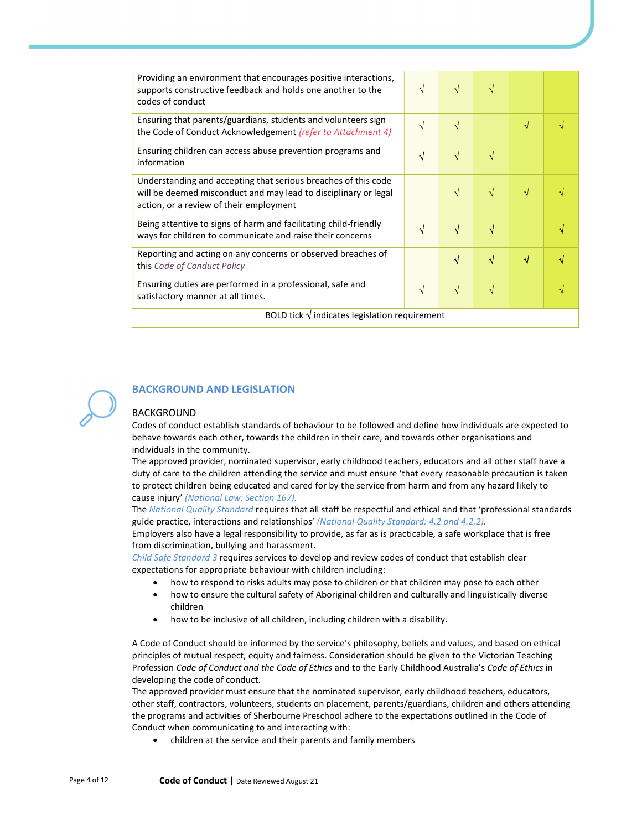| Providing an environment that encourages positive interactions,<br>supports constructive feedback and holds one another to the<br>codes of conduct                           | $\sqrt{}$ | $\sqrt{ }$ | V         |   |  |
|------------------------------------------------------------------------------------------------------------------------------------------------------------------------------|-----------|------------|-----------|---|--|
| Ensuring that parents/guardians, students and volunteers sign<br>the Code of Conduct Acknowledgement (refer to Attachment 4)                                                 | $\sqrt{}$ | $\sqrt{ }$ |           | V |  |
| Ensuring children can access abuse prevention programs and<br>information                                                                                                    | √         | $\sqrt{ }$ | V         |   |  |
| Understanding and accepting that serious breaches of this code<br>will be deemed misconduct and may lead to disciplinary or legal<br>action, or a review of their employment |           | $\sqrt{ }$ | $\sqrt{}$ | N |  |
| Being attentive to signs of harm and facilitating child-friendly<br>ways for children to communicate and raise their concerns                                                | √         | $\sqrt{ }$ | √         |   |  |
| Reporting and acting on any concerns or observed breaches of<br>this Code of Conduct Policy                                                                                  |           | $\sqrt{}$  | √         | √ |  |
| Ensuring duties are performed in a professional, safe and<br>satisfactory manner at all times.                                                                               | $\sqrt{}$ | $\sqrt{ }$ | N         |   |  |
| BOLD tick $\sqrt{}$ indicates legislation requirement                                                                                                                        |           |            |           |   |  |



# BACKGROUND AND LEGISLATION

#### BACKGROUND

Codes of conduct establish standards of behaviour to be followed and define how individuals are expected to behave towards each other, towards the children in their care, and towards other organisations and individuals in the community.

The approved provider, nominated supervisor, early childhood teachers, educators and all other staff have a duty of care to the children attending the service and must ensure 'that every reasonable precaution is taken to protect children being educated and cared for by the service from harm and from any hazard likely to cause injury' (National Law: Section 167).

The National Quality Standard requires that all staff be respectful and ethical and that 'professional standards guide practice, interactions and relationships' (National Quality Standard: 4.2 and 4.2.2).

Employers also have a legal responsibility to provide, as far as is practicable, a safe workplace that is free from discrimination, bullying and harassment.

Child Safe Standard 3 requires services to develop and review codes of conduct that establish clear expectations for appropriate behaviour with children including:

- how to respond to risks adults may pose to children or that children may pose to each other
- how to ensure the cultural safety of Aboriginal children and culturally and linguistically diverse children
- how to be inclusive of all children, including children with a disability.

A Code of Conduct should be informed by the service's philosophy, beliefs and values, and based on ethical principles of mutual respect, equity and fairness. Consideration should be given to the Victorian Teaching Profession Code of Conduct and the Code of Ethics and to the Early Childhood Australia's Code of Ethics in developing the code of conduct.

The approved provider must ensure that the nominated supervisor, early childhood teachers, educators, other staff, contractors, volunteers, students on placement, parents/guardians, children and others attending the programs and activities of Sherbourne Preschool adhere to the expectations outlined in the Code of Conduct when communicating to and interacting with:

children at the service and their parents and family members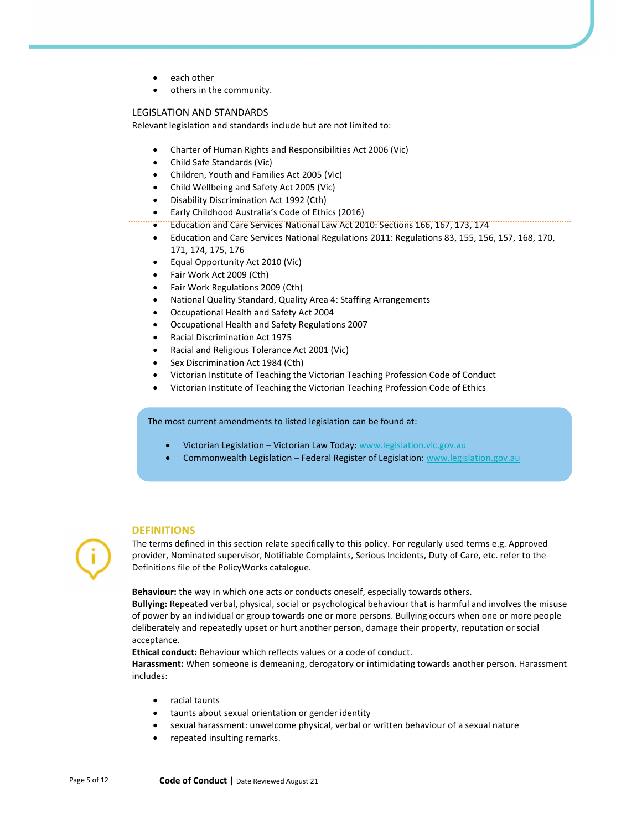- each other
- others in the community.

#### LEGISLATION AND STANDARDS

Relevant legislation and standards include but are not limited to:

- Charter of Human Rights and Responsibilities Act 2006 (Vic)
- Child Safe Standards (Vic)
- Children, Youth and Families Act 2005 (Vic)
- Child Wellbeing and Safety Act 2005 (Vic)
- Disability Discrimination Act 1992 (Cth)
- **Early Childhood Australia's Code of Ethics (2016)**<br> **Comparison and Care Services National Law Act 20**
- Education and Care Services National Law Act 2010: Sections 166, 167, 173, 174
- Education and Care Services National Regulations 2011: Regulations 83, 155, 156, 157, 168, 170, 171, 174, 175, 176
- Equal Opportunity Act 2010 (Vic)
- Fair Work Act 2009 (Cth)
- Fair Work Regulations 2009 (Cth)
- National Quality Standard, Quality Area 4: Staffing Arrangements
- Occupational Health and Safety Act 2004
- Occupational Health and Safety Regulations 2007
- Racial Discrimination Act 1975
- Racial and Religious Tolerance Act 2001 (Vic)
- Sex Discrimination Act 1984 (Cth)
- Victorian Institute of Teaching the Victorian Teaching Profession Code of Conduct
- Victorian Institute of Teaching the Victorian Teaching Profession Code of Ethics

The most current amendments to listed legislation can be found at:

- Victorian Legislation Victorian Law Today: www.legislation.vic.gov.au
- **•** Commonwealth Legislation Federal Register of Legislation: www.legislation.gov.au

#### **DEFINITIONS**

The terms defined in this section relate specifically to this policy. For regularly used terms e.g. Approved provider, Nominated supervisor, Notifiable Complaints, Serious Incidents, Duty of Care, etc. refer to the Definitions file of the PolicyWorks catalogue.

Behaviour: the way in which one acts or conducts oneself, especially towards others.

Bullying: Repeated verbal, physical, social or psychological behaviour that is harmful and involves the misuse of power by an individual or group towards one or more persons. Bullying occurs when one or more people deliberately and repeatedly upset or hurt another person, damage their property, reputation or social acceptance.

Ethical conduct: Behaviour which reflects values or a code of conduct.

Harassment: When someone is demeaning, derogatory or intimidating towards another person. Harassment includes:

- racial taunts
- taunts about sexual orientation or gender identity
- sexual harassment: unwelcome physical, verbal or written behaviour of a sexual nature
- repeated insulting remarks.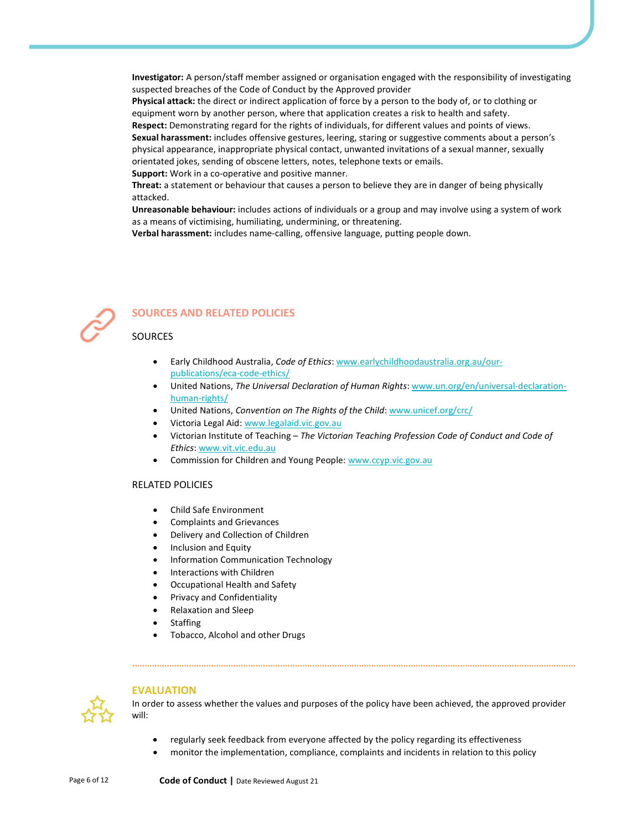Investigator: A person/staff member assigned or organisation engaged with the responsibility of investigating suspected breaches of the Code of Conduct by the Approved provider

Physical attack: the direct or indirect application of force by a person to the body of, or to clothing or equipment worn by another person, where that application creates a risk to health and safety.

Respect: Demonstrating regard for the rights of individuals, for different values and points of views. Sexual harassment: includes offensive gestures, leering, staring or suggestive comments about a person's physical appearance, inappropriate physical contact, unwanted invitations of a sexual manner, sexually orientated jokes, sending of obscene letters, notes, telephone texts or emails.

Support: Work in a co-operative and positive manner.

Threat: a statement or behaviour that causes a person to believe they are in danger of being physically attacked.

Unreasonable behaviour: includes actions of individuals or a group and may involve using a system of work as a means of victimising, humiliating, undermining, or threatening.

Verbal harassment: includes name-calling, offensive language, putting people down.



# SOURCES AND RELATED POLICIES

### **SOURCES**

- Early Childhood Australia, Code of Ethics: www.earlychildhoodaustralia.org.au/ourpublications/eca-code-ethics/
- United Nations, The Universal Declaration of Human Rights: www.un.org/en/universal-declarationhuman-rights/
- United Nations, Convention on The Rights of the Child: www.unicef.org/crc/
- Victoria Legal Aid: www.legalaid.vic.gov.au
- Victorian Institute of Teaching The Victorian Teaching Profession Code of Conduct and Code of Ethics: www.vit.vic.edu.au
- Commission for Children and Young People: www.ccyp.vic.gov.au

### RELATED POLICIES

- Child Safe Environment
- Complaints and Grievances
- Delivery and Collection of Children
- Inclusion and Equity
- Information Communication Technology
- Interactions with Children
- Occupational Health and Safety
- Privacy and Confidentiality
- Relaxation and Sleep
- **Staffing**
- Tobacco, Alcohol and other Drugs



### EVALUATION

In order to assess whether the values and purposes of the policy have been achieved, the approved provider will:

- regularly seek feedback from everyone affected by the policy regarding its effectiveness
- monitor the implementation, compliance, complaints and incidents in relation to this policy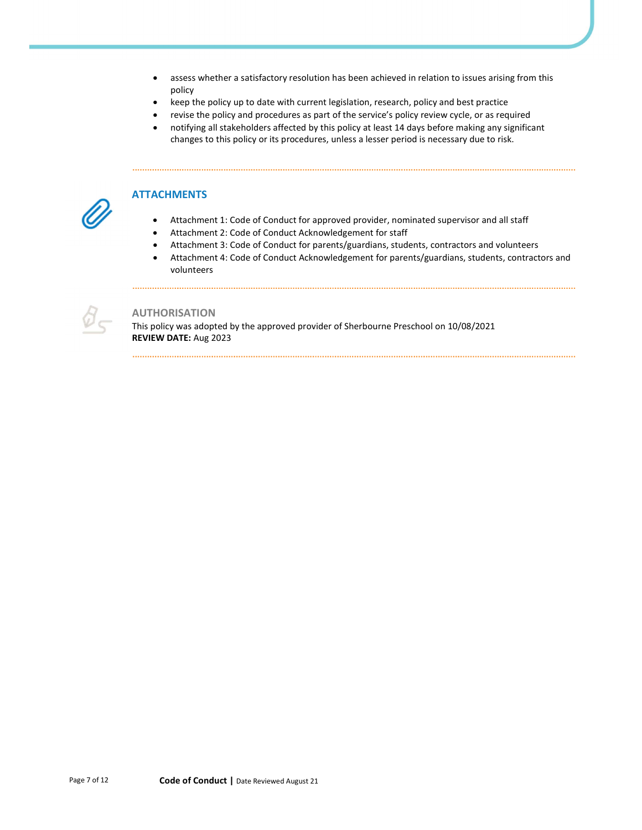- assess whether a satisfactory resolution has been achieved in relation to issues arising from this policy
- keep the policy up to date with current legislation, research, policy and best practice
- revise the policy and procedures as part of the service's policy review cycle, or as required
- notifying all stakeholders affected by this policy at least 14 days before making any significant changes to this policy or its procedures, unless a lesser period is necessary due to risk.

## **ATTACHMENTS**

- Attachment 1: Code of Conduct for approved provider, nominated supervisor and all staff
- Attachment 2: Code of Conduct Acknowledgement for staff
- Attachment 3: Code of Conduct for parents/guardians, students, contractors and volunteers
- Attachment 4: Code of Conduct Acknowledgement for parents/guardians, students, contractors and volunteers



## AUTHORISATION

This policy was adopted by the approved provider of Sherbourne Preschool on 10/08/2021 REVIEW DATE: Aug 2023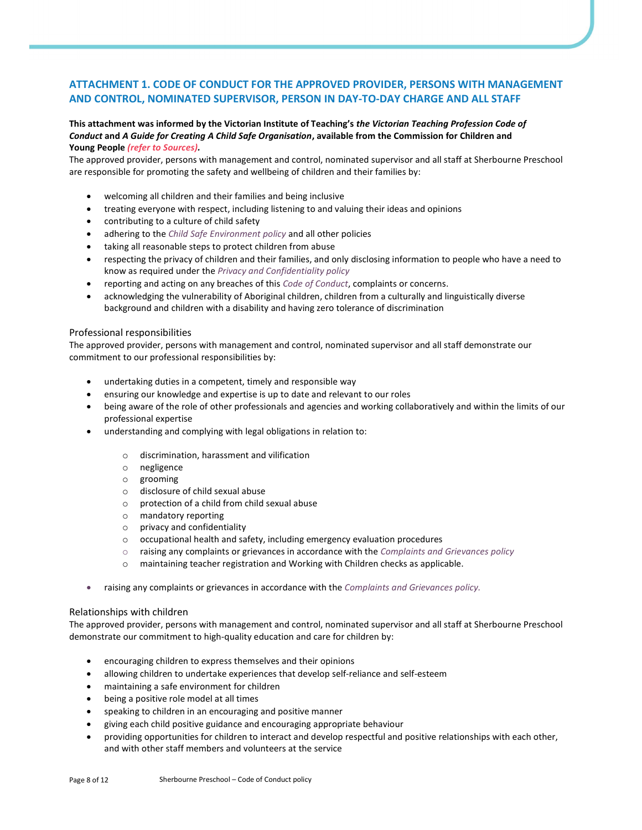# ATTACHMENT 1. CODE OF CONDUCT FOR THE APPROVED PROVIDER, PERSONS WITH MANAGEMENT AND CONTROL, NOMINATED SUPERVISOR, PERSON IN DAY-TO-DAY CHARGE AND ALL STAFF

#### This attachment was informed by the Victorian Institute of Teaching's the Victorian Teaching Profession Code of Conduct and A Guide for Creating A Child Safe Organisation, available from the Commission for Children and Young People (refer to Sources).

The approved provider, persons with management and control, nominated supervisor and all staff at Sherbourne Preschool are responsible for promoting the safety and wellbeing of children and their families by:

- welcoming all children and their families and being inclusive
- treating everyone with respect, including listening to and valuing their ideas and opinions
- contributing to a culture of child safety
- adhering to the Child Safe Environment policy and all other policies
- taking all reasonable steps to protect children from abuse
- respecting the privacy of children and their families, and only disclosing information to people who have a need to know as required under the Privacy and Confidentiality policy
- reporting and acting on any breaches of this Code of Conduct, complaints or concerns.
- acknowledging the vulnerability of Aboriginal children, children from a culturally and linguistically diverse background and children with a disability and having zero tolerance of discrimination

#### Professional responsibilities

The approved provider, persons with management and control, nominated supervisor and all staff demonstrate our commitment to our professional responsibilities by:

- undertaking duties in a competent, timely and responsible way
- ensuring our knowledge and expertise is up to date and relevant to our roles
- being aware of the role of other professionals and agencies and working collaboratively and within the limits of our professional expertise
- understanding and complying with legal obligations in relation to:
	- o discrimination, harassment and vilification
	- o negligence
	- o grooming
	- o disclosure of child sexual abuse
	- o protection of a child from child sexual abuse
	- o mandatory reporting
	- o privacy and confidentiality
	- $\circ$  occupational health and safety, including emergency evaluation procedures
	- $\circ$  raising any complaints or grievances in accordance with the *Complaints and Grievances policy*
	- maintaining teacher registration and Working with Children checks as applicable.
- raising any complaints or grievances in accordance with the Complaints and Grievances policy.

#### Relationships with children

The approved provider, persons with management and control, nominated supervisor and all staff at Sherbourne Preschool demonstrate our commitment to high-quality education and care for children by:

- encouraging children to express themselves and their opinions
- allowing children to undertake experiences that develop self-reliance and self-esteem
- maintaining a safe environment for children
- being a positive role model at all times
- speaking to children in an encouraging and positive manner
- giving each child positive guidance and encouraging appropriate behaviour
- providing opportunities for children to interact and develop respectful and positive relationships with each other, and with other staff members and volunteers at the service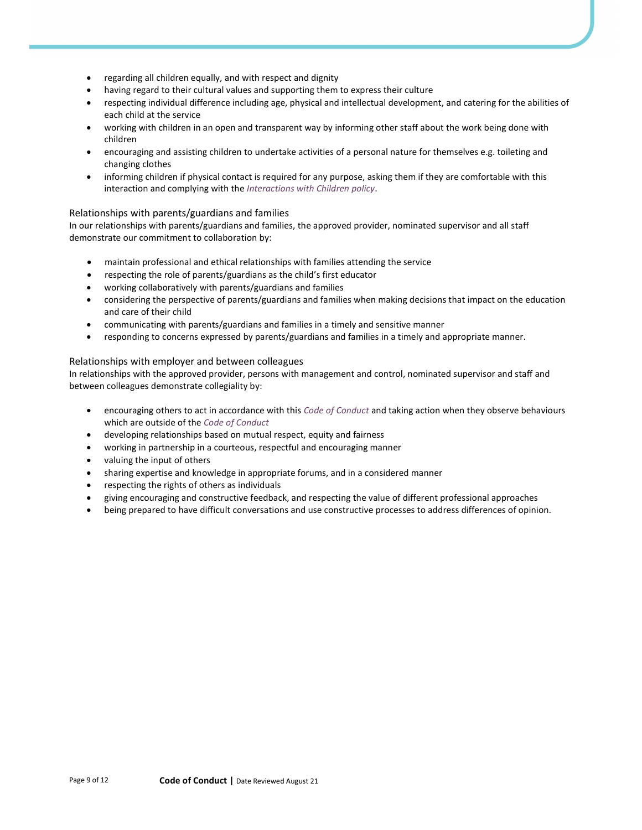- regarding all children equally, and with respect and dignity
- having regard to their cultural values and supporting them to express their culture
- respecting individual difference including age, physical and intellectual development, and catering for the abilities of each child at the service
- working with children in an open and transparent way by informing other staff about the work being done with children
- encouraging and assisting children to undertake activities of a personal nature for themselves e.g. toileting and changing clothes
- informing children if physical contact is required for any purpose, asking them if they are comfortable with this interaction and complying with the Interactions with Children policy.

## Relationships with parents/guardians and families

In our relationships with parents/guardians and families, the approved provider, nominated supervisor and all staff demonstrate our commitment to collaboration by:

- maintain professional and ethical relationships with families attending the service
- respecting the role of parents/guardians as the child's first educator
- working collaboratively with parents/guardians and families
- considering the perspective of parents/guardians and families when making decisions that impact on the education and care of their child
- communicating with parents/guardians and families in a timely and sensitive manner
- responding to concerns expressed by parents/guardians and families in a timely and appropriate manner.

## Relationships with employer and between colleagues

In relationships with the approved provider, persons with management and control, nominated supervisor and staff and between colleagues demonstrate collegiality by:

- encouraging others to act in accordance with this Code of Conduct and taking action when they observe behaviours which are outside of the Code of Conduct
- developing relationships based on mutual respect, equity and fairness
- working in partnership in a courteous, respectful and encouraging manner
- valuing the input of others
- sharing expertise and knowledge in appropriate forums, and in a considered manner
- respecting the rights of others as individuals
- giving encouraging and constructive feedback, and respecting the value of different professional approaches
- being prepared to have difficult conversations and use constructive processes to address differences of opinion.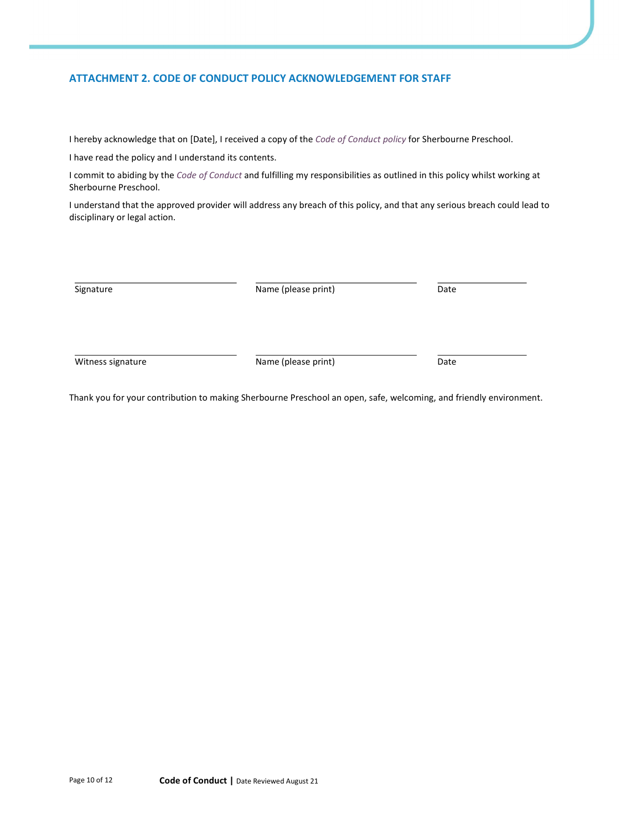# ATTACHMENT 2. CODE OF CONDUCT POLICY ACKNOWLEDGEMENT FOR STAFF

I hereby acknowledge that on [Date], I received a copy of the Code of Conduct policy for Sherbourne Preschool.

I have read the policy and I understand its contents.

I commit to abiding by the Code of Conduct and fulfilling my responsibilities as outlined in this policy whilst working at Sherbourne Preschool.

I understand that the approved provider will address any breach of this policy, and that any serious breach could lead to disciplinary or legal action.

| Date |
|------|
|      |

Thank you for your contribution to making Sherbourne Preschool an open, safe, welcoming, and friendly environment.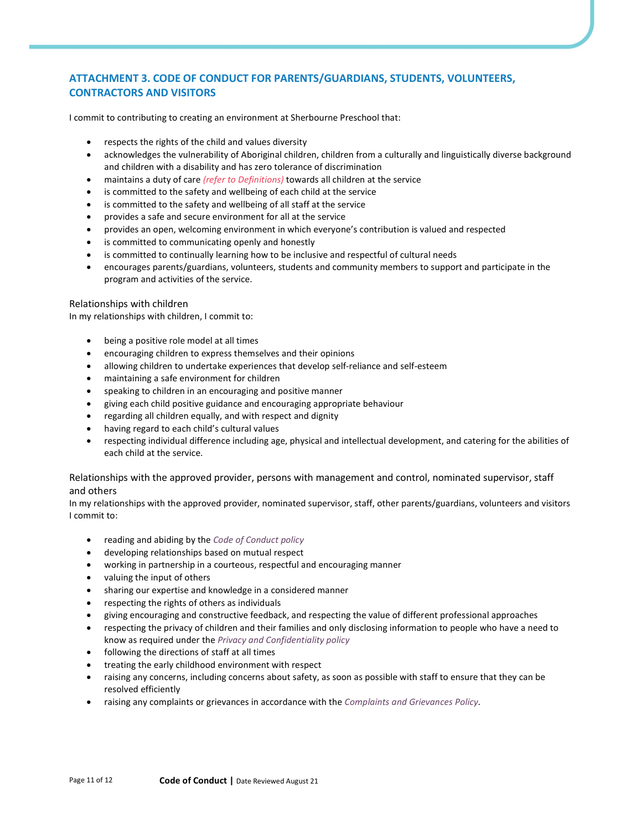# ATTACHMENT 3. CODE OF CONDUCT FOR PARENTS/GUARDIANS, STUDENTS, VOLUNTEERS, CONTRACTORS AND VISITORS

I commit to contributing to creating an environment at Sherbourne Preschool that:

- respects the rights of the child and values diversity
- acknowledges the vulnerability of Aboriginal children, children from a culturally and linguistically diverse background and children with a disability and has zero tolerance of discrimination
- maintains a duty of care (refer to Definitions) towards all children at the service
- is committed to the safety and wellbeing of each child at the service
- is committed to the safety and wellbeing of all staff at the service
- provides a safe and secure environment for all at the service
- provides an open, welcoming environment in which everyone's contribution is valued and respected
- is committed to communicating openly and honestly
- is committed to continually learning how to be inclusive and respectful of cultural needs
- encourages parents/guardians, volunteers, students and community members to support and participate in the program and activities of the service.

#### Relationships with children

In my relationships with children, I commit to:

- being a positive role model at all times
- encouraging children to express themselves and their opinions
- allowing children to undertake experiences that develop self-reliance and self-esteem
- maintaining a safe environment for children
- speaking to children in an encouraging and positive manner
- giving each child positive guidance and encouraging appropriate behaviour
- regarding all children equally, and with respect and dignity
- having regard to each child's cultural values
- respecting individual difference including age, physical and intellectual development, and catering for the abilities of each child at the service.

## Relationships with the approved provider, persons with management and control, nominated supervisor, staff and others

In my relationships with the approved provider, nominated supervisor, staff, other parents/guardians, volunteers and visitors I commit to:

- reading and abiding by the Code of Conduct policy
- developing relationships based on mutual respect
- working in partnership in a courteous, respectful and encouraging manner
- valuing the input of others
- sharing our expertise and knowledge in a considered manner
- respecting the rights of others as individuals
- giving encouraging and constructive feedback, and respecting the value of different professional approaches
- respecting the privacy of children and their families and only disclosing information to people who have a need to know as required under the Privacy and Confidentiality policy
- following the directions of staff at all times
- treating the early childhood environment with respect
- raising any concerns, including concerns about safety, as soon as possible with staff to ensure that they can be resolved efficiently
- raising any complaints or grievances in accordance with the Complaints and Grievances Policy.